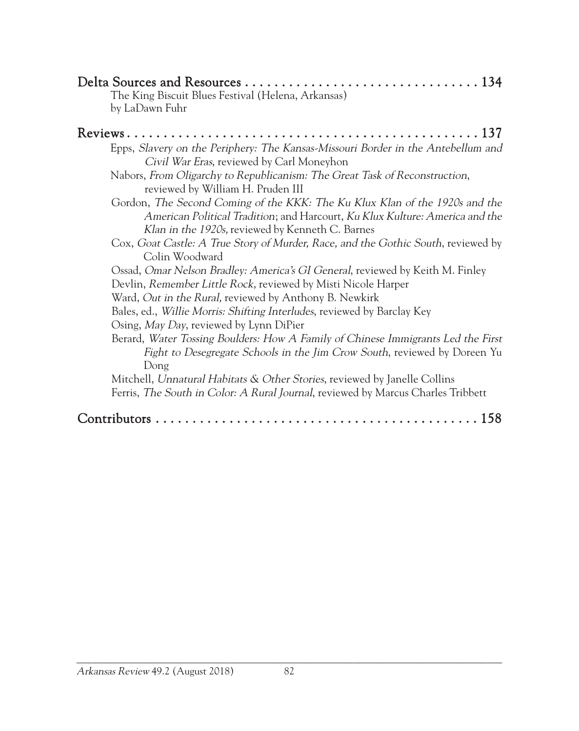| The King Biscuit Blues Festival (Helena, Arkansas)<br>by LaDawn Fuhr                                                                                                                                            |
|-----------------------------------------------------------------------------------------------------------------------------------------------------------------------------------------------------------------|
| Epps, Slavery on the Periphery: The Kansas-Missouri Border in the Antebellum and                                                                                                                                |
| Civil War Eras, reviewed by Carl Moneyhon<br>Nabors, From Oligarchy to Republicanism: The Great Task of Reconstruction,<br>reviewed by William H. Pruden III                                                    |
| Gordon, The Second Coming of the KKK: The Ku Klux Klan of the 1920s and the<br>American Political Tradition; and Harcourt, Ku Klux Kulture: America and the<br>Klan in the 1920s, reviewed by Kenneth C. Barnes |
| Cox, Goat Castle: A True Story of Murder, Race, and the Gothic South, reviewed by<br>Colin Woodward                                                                                                             |
| Ossad, Omar Nelson Bradley: America's GI General, reviewed by Keith M. Finley<br>Devlin, Remember Little Rock, reviewed by Misti Nicole Harper<br>Ward, Out in the Rural, reviewed by Anthony B. Newkirk        |
| Bales, ed., Willie Morris: Shifting Interludes, reviewed by Barclay Key<br>Osing, May Day, reviewed by Lynn DiPier                                                                                              |
| Berard, Water Tossing Boulders: How A Family of Chinese Immigrants Led the First<br>Fight to Desegregate Schools in the Jim Crow South, reviewed by Doreen Yu<br>Dong                                           |
| Mitchell, Unnatural Habitats & Other Stories, reviewed by Janelle Collins<br>Ferris, The South in Color: A Rural Journal, reviewed by Marcus Charles Tribbett                                                   |
|                                                                                                                                                                                                                 |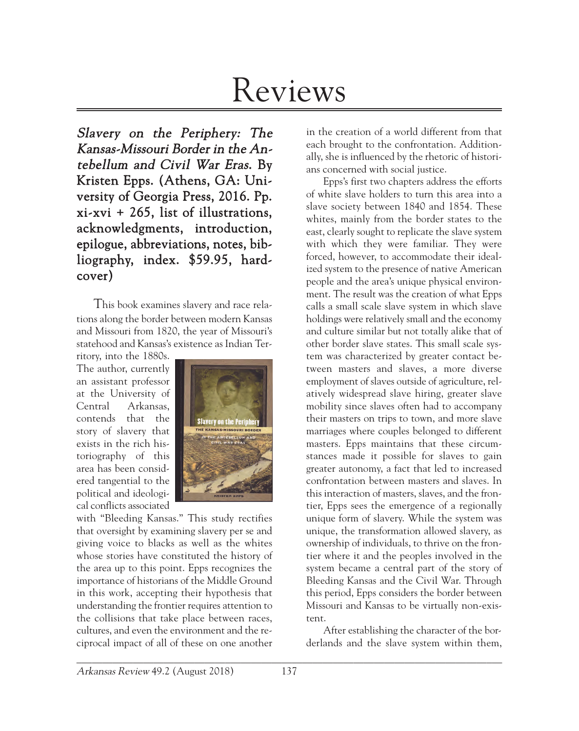# Reviews

Slavery on the Periphery: The Kansas-Missouri Border in the Antebellum and Civil War Eras. By Kristen Epps. (Athens, GA: University of Georgia Press, 2016. Pp. xi-xvi + 265, list of illustrations, acknowledgments, introduction, epilogue, abbreviations, notes, bibliography, index. \$59.95, hardcover)

This book examines slavery and race relations along the border between modern Kansas and Missouri from 1820, the year of Missouri's statehood and Kansas's existence as Indian Ter-

ritory, into the 1880s. The author, currently an assistant professor at the University of Central Arkansas, contends that the story of slavery that exists in the rich historiography of this area has been considered tangential to the political and ideological conflicts associated



with "Bleeding Kansas." This study rectifies that oversight by examining slavery per se and giving voice to blacks as well as the whites whose stories have constituted the history of the area up to this point. Epps recognizes the importance of historians of the Middle Ground in this work, accepting their hypothesis that understanding the frontier requires attention to the collisions that take place between races, cultures, and even the environment and the reciprocal impact of all of these on one another in the creation of a world different from that each brought to the confrontation. Additionally, she is influenced by the rhetoric of historians concerned with social justice.

Epps's first two chapters address the efforts of white slave holders to turn this area into a slave society between 1840 and 1854. These whites, mainly from the border states to the east, clearly sought to replicate the slave system with which they were familiar. They were forced, however, to accommodate their idealized system to the presence of native American people and the area's unique physical environment. The result was the creation of what Epps calls a small scale slave system in which slave holdings were relatively small and the economy and culture similar but not totally alike that of other border slave states. This small scale system was characterized by greater contact between masters and slaves, a more diverse employment of slaves outside of agriculture, relatively widespread slave hiring, greater slave mobility since slaves often had to accompany their masters on trips to town, and more slave marriages where couples belonged to different masters. Epps maintains that these circumstances made it possible for slaves to gain greater autonomy, a fact that led to increased confrontation between masters and slaves. In this interaction of masters, slaves, and the frontier, Epps sees the emergence of a regionally unique form of slavery. While the system was unique, the transformation allowed slavery, as ownership of individuals, to thrive on the frontier where it and the peoples involved in the system became a central part of the story of Bleeding Kansas and the Civil War. Through this period, Epps considers the border between Missouri and Kansas to be virtually non-existent.

After establishing the character of the borderlands and the slave system within them,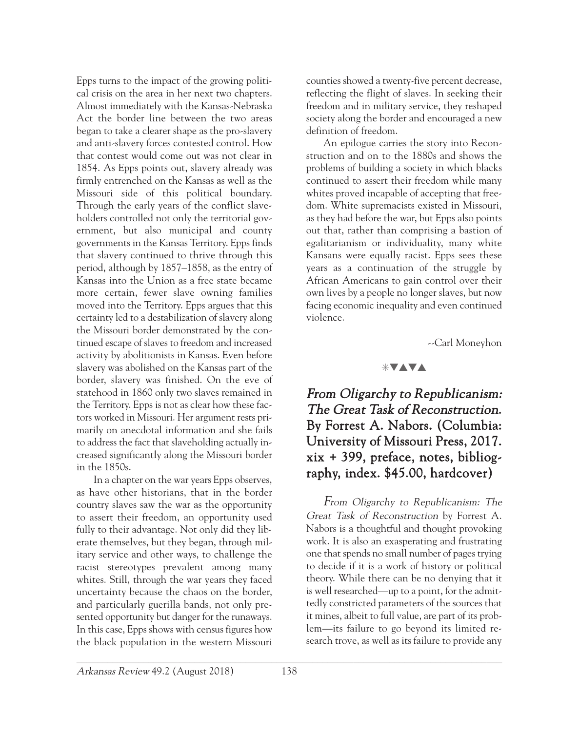Epps turns to the impact of the growing political crisis on the area in her next two chapters. Almost immediately with the Kansas-Nebraska Act the border line between the two areas began to take a clearer shape as the pro-slavery and anti-slavery forces contested control. How that contest would come out was not clear in 1854. As Epps points out, slavery already was firmly entrenched on the Kansas as well as the Missouri side of this political boundary. Through the early years of the conflict slaveholders controlled not only the territorial government, but also municipal and county governments in the Kansas Territory. Epps finds that slavery continued to thrive through this period, although by 1857–1858, as the entry of Kansas into the Union as a free state became more certain, fewer slave owning families moved into the Territory. Epps argues that this certainty led to a destabilization of slavery along the Missouri border demonstrated by the continued escape of slaves to freedom and increased activity by abolitionists in Kansas. Even before slavery was abolished on the Kansas part of the border, slavery was finished. On the eve of statehood in 1860 only two slaves remained in the Territory. Epps is not as clear how these factors worked in Missouri. Her argument rests primarily on anecdotal information and she fails to address the fact that slaveholding actually increased significantly along the Missouri border in the 1850s.

In a chapter on the war years Epps observes, as have other historians, that in the border country slaves saw the war as the opportunity to assert their freedom, an opportunity used fully to their advantage. Not only did they liberate themselves, but they began, through military service and other ways, to challenge the racist stereotypes prevalent among many whites. Still, through the war years they faced uncertainty because the chaos on the border, and particularly guerilla bands, not only presented opportunity but danger for the runaways. In this case, Epps shows with census figures how the black population in the western Missouri

counties showed a twenty-five percent decrease, reflecting the flight of slaves. In seeking their freedom and in military service, they reshaped society along the border and encouraged a new definition of freedom.

An epilogue carries the story into Reconstruction and on to the 1880s and shows the problems of building a society in which blacks continued to assert their freedom while many whites proved incapable of accepting that freedom. White supremacists existed in Missouri, as they had before the war, but Epps also points out that, rather than comprising a bastion of egalitarianism or individuality, many white Kansans were equally racist. Epps sees these years as a continuation of the struggle by African Americans to gain control over their own lives by a people no longer slaves, but now facing economic inequality and even continued violence.

--Carl Moneyhon

### $*$ vava

## From Oligarchy to Republicanism: The Great Task of Reconstruction. By Forrest A. Nabors. (Columbia: University of Missouri Press, 2017. xix + 399, preface, notes, bibliography, index. \$45.00, hardcover)

From Oligarchy to Republicanism: The Great Task of Reconstruction by Forrest A. Nabors is a thoughtful and thought provoking work. It is also an exasperating and frustrating one that spends no small number of pages trying to decide if it is a work of history or political theory. While there can be no denying that it is well researched—up to a point, for the admittedly constricted parameters of the sources that it mines, albeit to full value, are part of its problem—its failure to go beyond its limited research trove, as well as its failure to provide any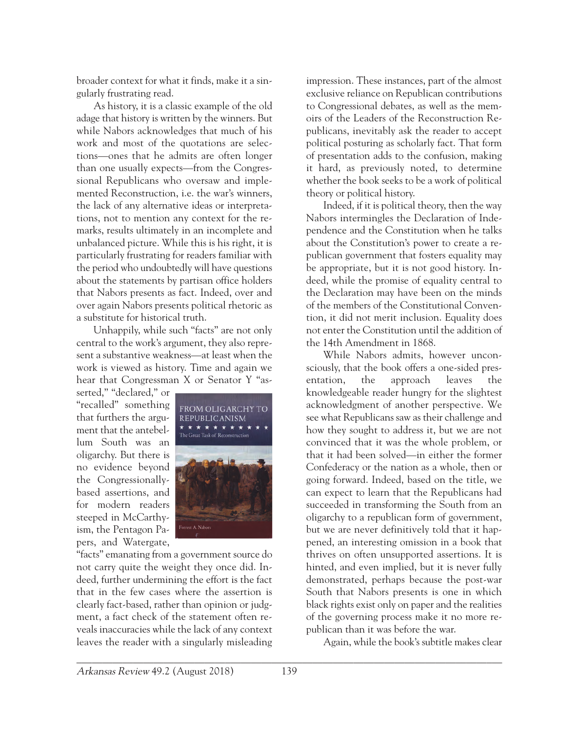broader context for what it finds, make it a singularly frustrating read.

As history, it is a classic example of the old adage that history is written by the winners. But while Nabors acknowledges that much of his work and most of the quotations are selections—ones that he admits are often longer than one usually expects—from the Congressional Republicans who oversaw and implemented Reconstruction, i.e. the war's winners, the lack of any alternative ideas or interpretations, not to mention any context for the remarks, results ultimately in an incomplete and unbalanced picture. While this is his right, it is particularly frustrating for readers familiar with the period who undoubtedly will have questions about the statements by partisan office holders that Nabors presents as fact. Indeed, over and over again Nabors presents political rhetoric as a substitute for historical truth.

Unhappily, while such "facts" are not only central to the work's argument, they also represent a substantive weakness—at least when the work is viewed as history. Time and again we hear that Congressman X or Senator Y "as-

serted," "declared," or "recalled" something that furthers the argument that the antebellum South was an oligarchy. But there is no evidence beyond the Congressionallybased assertions, and for modern readers steeped in McCarthyism, the Pentagon Papers, and Watergate,



"facts" emanating from a government source do not carry quite the weight they once did. Indeed, further undermining the effort is the fact that in the few cases where the assertion is clearly fact-based, rather than opinion or judgment, a fact check of the statement often reveals inaccuracies while the lack of any context leaves the reader with a singularly misleading

impression. These instances, part of the almost exclusive reliance on Republican contributions to Congressional debates, as well as the memoirs of the Leaders of the Reconstruction Republicans, inevitably ask the reader to accept political posturing as scholarly fact. That form of presentation adds to the confusion, making it hard, as previously noted, to determine whether the book seeks to be a work of political theory or political history.

Indeed, if it is political theory, then the way Nabors intermingles the Declaration of Independence and the Constitution when he talks about the Constitution's power to create a republican government that fosters equality may be appropriate, but it is not good history. Indeed, while the promise of equality central to the Declaration may have been on the minds of the members of the Constitutional Convention, it did not merit inclusion. Equality does not enter the Constitution until the addition of the 14th Amendment in 1868.

While Nabors admits, however unconsciously, that the book offers a one-sided presentation, the approach leaves the knowledgeable reader hungry for the slightest acknowledgment of another perspective. We see what Republicans saw as their challenge and how they sought to address it, but we are not convinced that it was the whole problem, or that it had been solved—in either the former Confederacy or the nation as a whole, then or going forward. Indeed, based on the title, we can expect to learn that the Republicans had succeeded in transforming the South from an oligarchy to a republican form of government, but we are never definitively told that it happened, an interesting omission in a book that thrives on often unsupported assertions. It is hinted, and even implied, but it is never fully demonstrated, perhaps because the post-war South that Nabors presents is one in which black rights exist only on paper and the realities of the governing process make it no more republican than it was before the war.

Again, while the book's subtitle makes clear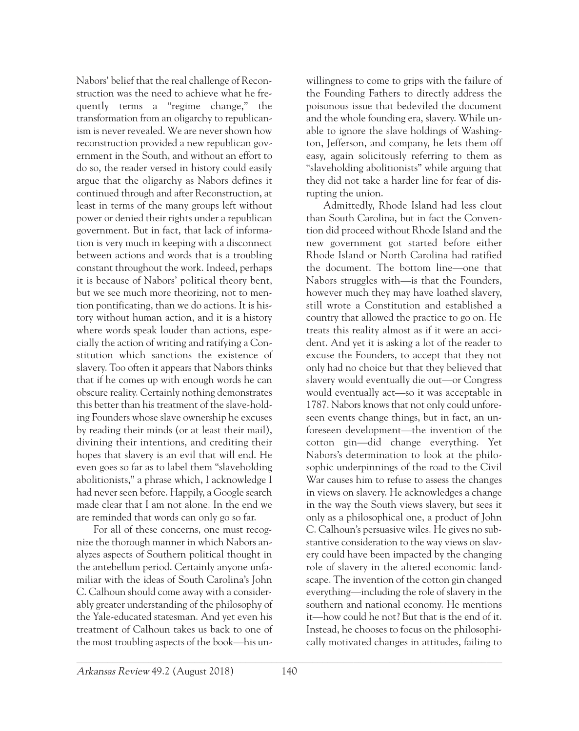Nabors' belief that the real challenge of Reconstruction was the need to achieve what he frequently terms a "regime change," the transformation from an oligarchy to republicanism is never revealed. We are never shown how reconstruction provided a new republican government in the South, and without an effort to do so, the reader versed in history could easily argue that the oligarchy as Nabors defines it continued through and after Reconstruction, at least in terms of the many groups left without power or denied their rights under a republican government. But in fact, that lack of information is very much in keeping with a disconnect between actions and words that is a troubling constant throughout the work. Indeed, perhaps it is because of Nabors' political theory bent, but we see much more theorizing, not to mention pontificating, than we do actions. It is history without human action, and it is a history where words speak louder than actions, especially the action of writing and ratifying a Constitution which sanctions the existence of slavery. Too often it appears that Nabors thinks that if he comes up with enough words he can obscure reality. Certainly nothing demonstrates this better than his treatment of the slave-holding Founders whose slave ownership he excuses by reading their minds (or at least their mail), divining their intentions, and crediting their hopes that slavery is an evil that will end. He even goes so far as to label them "slaveholding abolitionists," a phrase which, I acknowledge I had never seen before. Happily, a Google search made clear that I am not alone. In the end we are reminded that words can only go so far.

For all of these concerns, one must recognize the thorough manner in which Nabors analyzes aspects of Southern political thought in the antebellum period. Certainly anyone unfamiliar with the ideas of South Carolina's John C. Calhoun should come away with a considerably greater understanding of the philosophy of the Yale-educated statesman. And yet even his treatment of Calhoun takes us back to one of the most troubling aspects of the book—his unwillingness to come to grips with the failure of the Founding Fathers to directly address the poisonous issue that bedeviled the document and the whole founding era, slavery. While unable to ignore the slave holdings of Washington, Jefferson, and company, he lets them off easy, again solicitously referring to them as "slaveholding abolitionists" while arguing that they did not take a harder line for fear of disrupting the union.

Admittedly, Rhode Island had less clout than South Carolina, but in fact the Convention did proceed without Rhode Island and the new government got started before either Rhode Island or North Carolina had ratified the document. The bottom line—one that Nabors struggles with—is that the Founders, however much they may have loathed slavery, still wrote a Constitution and established a country that allowed the practice to go on. He treats this reality almost as if it were an accident. And yet it is asking a lot of the reader to excuse the Founders, to accept that they not only had no choice but that they believed that slavery would eventually die out—or Congress would eventually act—so it was acceptable in 1787. Nabors knows that not only could unforeseen events change things, but in fact, an unforeseen development—the invention of the cotton gin—did change everything. Yet Nabors's determination to look at the philosophic underpinnings of the road to the Civil War causes him to refuse to assess the changes in views on slavery. He acknowledges a change in the way the South views slavery, but sees it only as a philosophical one, a product of John C. Calhoun's persuasive wiles. He gives no substantive consideration to the way views on slavery could have been impacted by the changing role of slavery in the altered economic landscape. The invention of the cotton gin changed everything—including the role of slavery in the southern and national economy. He mentions it—how could he not? But that is the end of it. Instead, he chooses to focus on the philosophically motivated changes in attitudes, failing to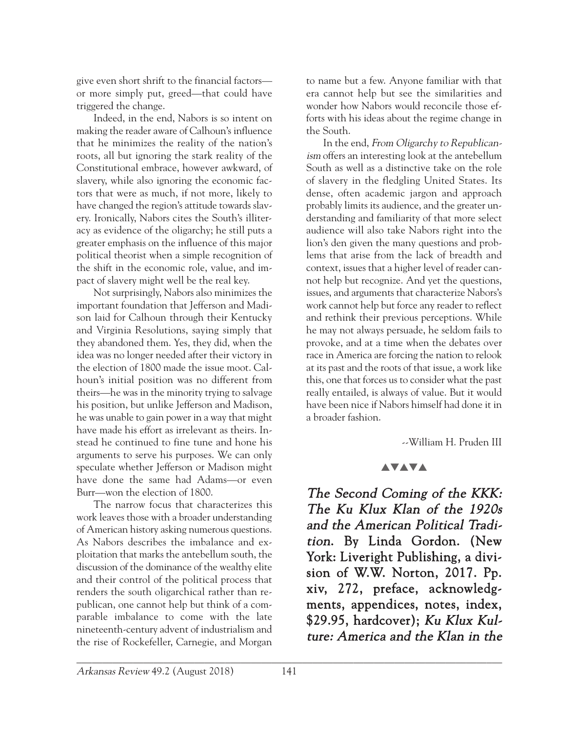give even short shrift to the financial factors or more simply put, greed—that could have triggered the change.

Indeed, in the end, Nabors is so intent on making the reader aware of Calhoun's influence that he minimizes the reality of the nation's roots, all but ignoring the stark reality of the Constitutional embrace, however awkward, of slavery, while also ignoring the economic factors that were as much, if not more, likely to have changed the region's attitude towards slavery. Ironically, Nabors cites the South's illiteracy as evidence of the oligarchy; he still puts a greater emphasis on the influence of this major political theorist when a simple recognition of the shift in the economic role, value, and impact of slavery might well be the real key.

Not surprisingly, Nabors also minimizes the important foundation that Jefferson and Madison laid for Calhoun through their Kentucky and Virginia Resolutions, saying simply that they abandoned them. Yes, they did, when the idea was no longer needed after their victory in the election of 1800 made the issue moot. Calhoun's initial position was no different from theirs—he was in the minority trying to salvage his position, but unlike Jefferson and Madison, he was unable to gain power in a way that might have made his effort as irrelevant as theirs. Instead he continued to fine tune and hone his arguments to serve his purposes. We can only speculate whether Jefferson or Madison might have done the same had Adams—or even Burr—won the election of 1800.

The narrow focus that characterizes this work leaves those with a broader understanding of American history asking numerous questions. As Nabors describes the imbalance and exploitation that marks the antebellum south, the discussion of the dominance of the wealthy elite and their control of the political process that renders the south oligarchical rather than republican, one cannot help but think of a comparable imbalance to come with the late nineteenth-century advent of industrialism and the rise of Rockefeller, Carnegie, and Morgan

to name but a few. Anyone familiar with that era cannot help but see the similarities and wonder how Nabors would reconcile those efforts with his ideas about the regime change in the South.

In the end, From Oligarchy to Republicanism offers an interesting look at the antebellum South as well as a distinctive take on the role of slavery in the fledgling United States. Its dense, often academic jargon and approach probably limits its audience, and the greater understanding and familiarity of that more select audience will also take Nabors right into the lion's den given the many questions and problems that arise from the lack of breadth and context, issues that a higher level of reader cannot help but recognize. And yet the questions, issues, and arguments that characterize Nabors's work cannot help but force any reader to reflect and rethink their previous perceptions. While he may not always persuade, he seldom fails to provoke, and at a time when the debates over race in America are forcing the nation to relook at its past and the roots of that issue, a work like this, one that forces us to consider what the past really entailed, is always of value. But it would have been nice if Nabors himself had done it in a broader fashion.

--William H. Pruden III

### **AVAVA**

The Second Coming of the KKK: The Ku Klux Klan of the 1920s and the American Political Tradition. By Linda Gordon. (New York: Liveright Publishing, a division of W.W. Norton, 2017. Pp. xiv, 272, preface, acknowledgments, appendices, notes, index, \$29.95, hardcover); Ku Klux Kulture: America and the Klan in the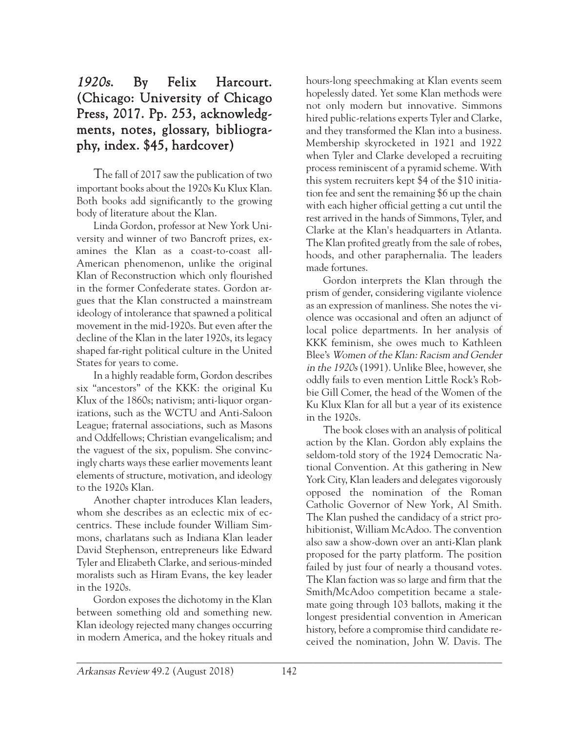## 1920s. By Felix Harcourt. (Chicago: University of Chicago Press, 2017. Pp. 253, acknowledgments, notes, glossary, bibliography, index. \$45, hardcover)

The fall of 2017 saw the publication of two important books about the 1920s Ku Klux Klan. Both books add significantly to the growing body of literature about the Klan.

Linda Gordon, professor at New York University and winner of two Bancroft prizes, examines the Klan as a coast-to-coast all-American phenomenon, unlike the original Klan of Reconstruction which only flourished in the former Confederate states. Gordon argues that the Klan constructed a mainstream ideology of intolerance that spawned a political movement in the mid-1920s. But even after the decline of the Klan in the later 1920s, its legacy shaped far-right political culture in the United States for years to come.

In a highly readable form, Gordon describes six "ancestors" of the KKK: the original Ku Klux of the 1860s; nativism; anti-liquor organizations, such as the WCTU and Anti-Saloon League; fraternal associations, such as Masons and Oddfellows; Christian evangelicalism; and the vaguest of the six, populism. She convincingly charts ways these earlier movements leant elements of structure, motivation, and ideology to the 1920s Klan.

Another chapter introduces Klan leaders, whom she describes as an eclectic mix of eccentrics. These include founder William Simmons, charlatans such as Indiana Klan leader David Stephenson, entrepreneurs like Edward Tyler and Elizabeth Clarke, and serious-minded moralists such as Hiram Evans, the key leader in the 1920s.

Gordon exposes the dichotomy in the Klan between something old and something new. Klan ideology rejected many changes occurring in modern America, and the hokey rituals and

hours-long speechmaking at Klan events seem hopelessly dated. Yet some Klan methods were not only modern but innovative. Simmons hired public-relations experts Tyler and Clarke, and they transformed the Klan into a business. Membership skyrocketed in 1921 and 1922 when Tyler and Clarke developed a recruiting process reminiscent of a pyramid scheme. With this system recruiters kept \$4 of the \$10 initiation fee and sent the remaining \$6 up the chain with each higher official getting a cut until the rest arrived in the hands of Simmons, Tyler, and Clarke at the Klan's headquarters in Atlanta. The Klan profited greatly from the sale of robes, hoods, and other paraphernalia. The leaders made fortunes.

Gordon interprets the Klan through the prism of gender, considering vigilante violence as an expression of manliness. She notes the violence was occasional and often an adjunct of local police departments. In her analysis of KKK feminism, she owes much to Kathleen Blee's Women of the Klan: Racism and Gender in the 1920s (1991). Unlike Blee, however, she oddly fails to even mention Little Rock's Robbie Gill Comer, the head of the Women of the Ku Klux Klan for all but a year of its existence in the 1920s.

The book closes with an analysis of political action by the Klan. Gordon ably explains the seldom-told story of the 1924 Democratic National Convention. At this gathering in New York City, Klan leaders and delegates vigorously opposed the nomination of the Roman Catholic Governor of New York, Al Smith. The Klan pushed the candidacy of a strict prohibitionist, William McAdoo. The convention also saw a show-down over an anti-Klan plank proposed for the party platform. The position failed by just four of nearly a thousand votes. The Klan faction was so large and firm that the Smith/McAdoo competition became a stalemate going through 103 ballots, making it the longest presidential convention in American history, before a compromise third candidate received the nomination, John W. Davis. The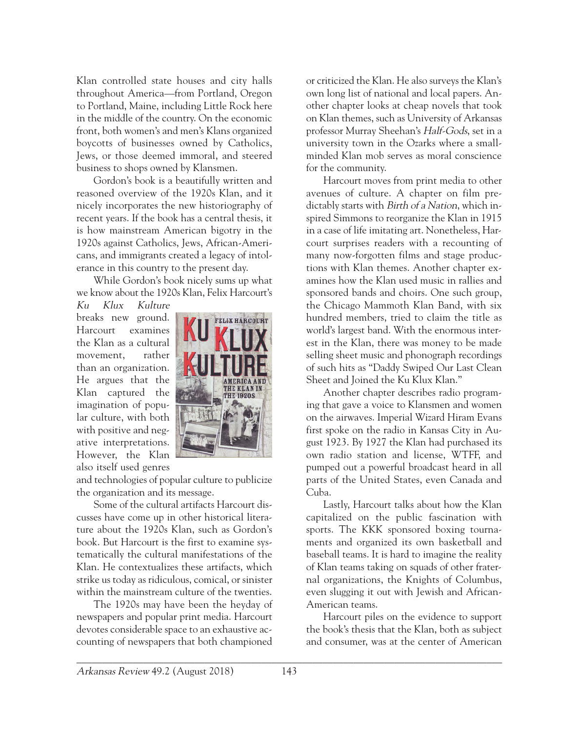Klan controlled state houses and city halls throughout America—from Portland, Oregon to Portland, Maine, including Little Rock here in the middle of the country. On the economic front, both women's and men's Klans organized boycotts of businesses owned by Catholics, Jews, or those deemed immoral, and steered business to shops owned by Klansmen.

Gordon's book is a beautifully written and reasoned overview of the 1920s Klan, and it nicely incorporates the new historiography of recent years. If the book has a central thesis, it is how mainstream American bigotry in the 1920s against Catholics, Jews, African-Americans, and immigrants created a legacy of intolerance in this country to the present day.

While Gordon's book nicely sums up what we know about the 1920s Klan, Felix Harcourt's

Ku Klux Kulture breaks new ground. Harcourt examines the Klan as a cultural movement, rather than an organization. He argues that the Klan captured the imagination of popular culture, with both with positive and negative interpretations. However, the Klan also itself used genres



and technologies of popular culture to publicize the organization and its message.

Some of the cultural artifacts Harcourt discusses have come up in other historical literature about the 1920s Klan, such as Gordon's book. But Harcourt is the first to examine systematically the cultural manifestations of the Klan. He contextualizes these artifacts, which strike us today as ridiculous, comical, or sinister within the mainstream culture of the twenties.

The 1920s may have been the heyday of newspapers and popular print media. Harcourt devotes considerable space to an exhaustive accounting of newspapers that both championed

or criticized the Klan. He also surveys the Klan's own long list of national and local papers. Another chapter looks at cheap novels that took on Klan themes, such as University of Arkansas professor Murray Sheehan's Half-Gods, set in a university town in the Ozarks where a smallminded Klan mob serves as moral conscience for the community.

Harcourt moves from print media to other avenues of culture. A chapter on film predictably starts with *Birth of a Nation*, which inspired Simmons to reorganize the Klan in 1915 in a case of life imitating art. Nonetheless, Harcourt surprises readers with a recounting of many now-forgotten films and stage productions with Klan themes. Another chapter examines how the Klan used music in rallies and sponsored bands and choirs. One such group, the Chicago Mammoth Klan Band, with six hundred members, tried to claim the title as world's largest band. With the enormous interest in the Klan, there was money to be made selling sheet music and phonograph recordings of such hits as "Daddy Swiped Our Last Clean Sheet and Joined the Ku Klux Klan."

Another chapter describes radio programing that gave a voice to Klansmen and women on the airwaves. Imperial Wizard Hiram Evans first spoke on the radio in Kansas City in August 1923. By 1927 the Klan had purchased its own radio station and license, WTFF, and pumped out a powerful broadcast heard in all parts of the United States, even Canada and Cuba.

Lastly, Harcourt talks about how the Klan capitalized on the public fascination with sports. The KKK sponsored boxing tournaments and organized its own basketball and baseball teams. It is hard to imagine the reality of Klan teams taking on squads of other fraternal organizations, the Knights of Columbus, even slugging it out with Jewish and African-American teams.

Harcourt piles on the evidence to support the book's thesis that the Klan, both as subject and consumer, was at the center of American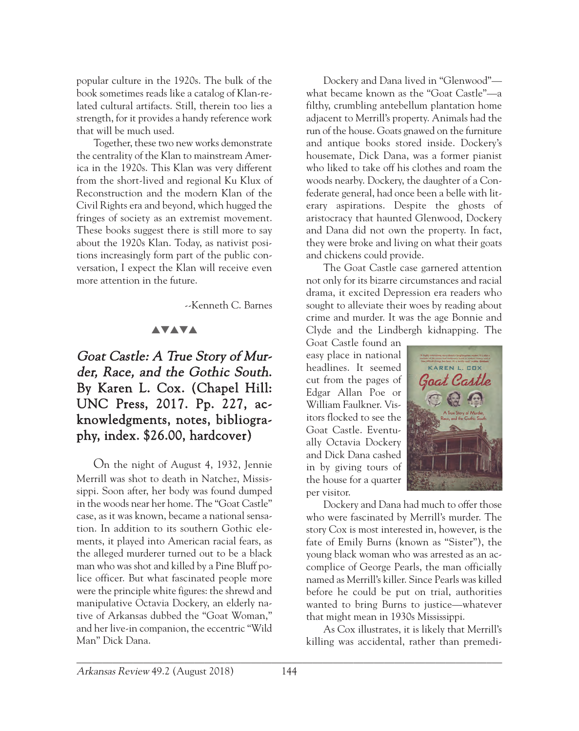popular culture in the 1920s. The bulk of the book sometimes reads like a catalog of Klan-related cultural artifacts. Still, therein too lies a strength, for it provides a handy reference work that will be much used.

Together, these two new works demonstrate the centrality of the Klan to mainstream America in the 1920s. This Klan was very different from the short-lived and regional Ku Klux of Reconstruction and the modern Klan of the Civil Rights era and beyond, which hugged the fringes of society as an extremist movement. These books suggest there is still more to say about the 1920s Klan. Today, as nativist positions increasingly form part of the public conversation, I expect the Klan will receive even more attention in the future.

--Kenneth C. Barnes

#### **AVAVA**

## Goat Castle: A True Story of Murder, Race, and the Gothic South. By Karen L. Cox. (Chapel Hill: UNC Press, 2017. Pp. 227, acknowledgments, notes, bibliography, index. \$26.00, hardcover)

On the night of August 4, 1932, Jennie Merrill was shot to death in Natchez, Mississippi. Soon after, her body was found dumped in the woods near her home. The "Goat Castle" case, as it was known, became a national sensation. In addition to its southern Gothic elements, it played into American racial fears, as the alleged murderer turned out to be a black man who was shot and killed by a Pine Bluff police officer. But what fascinated people more were the principle white figures: the shrewd and manipulative Octavia Dockery, an elderly native of Arkansas dubbed the "Goat Woman," and her live-in companion, the eccentric "Wild Man" Dick Dana.

Dockery and Dana lived in "Glenwood" what became known as the "Goat Castle"—a filthy, crumbling antebellum plantation home adjacent to Merrill's property. Animals had the run of the house. Goats gnawed on the furniture and antique books stored inside. Dockery's housemate, Dick Dana, was a former pianist who liked to take off his clothes and roam the woods nearby. Dockery, the daughter of a Confederate general, had once been a belle with literary aspirations. Despite the ghosts of aristocracy that haunted Glenwood, Dockery and Dana did not own the property. In fact, they were broke and living on what their goats and chickens could provide.

The Goat Castle case garnered attention not only for its bizarre circumstances and racial drama, it excited Depression era readers who sought to alleviate their woes by reading about crime and murder. It was the age Bonnie and Clyde and the Lindbergh kidnapping. The

Goat Castle found an easy place in national headlines. It seemed cut from the pages of Edgar Allan Poe or William Faulkner. Visitors flocked to see the Goat Castle. Eventually Octavia Dockery and Dick Dana cashed in by giving tours of the house for a quarter per visitor.



Dockery and Dana had much to offer those who were fascinated by Merrill's murder. The story Cox is most interested in, however, is the fate of Emily Burns (known as "Sister"), the young black woman who was arrested as an accomplice of George Pearls, the man officially named as Merrill's killer. Since Pearls was killed before he could be put on trial, authorities wanted to bring Burns to justice—whatever that might mean in 1930s Mississippi.

As Cox illustrates, it is likely that Merrill's killing was accidental, rather than premedi-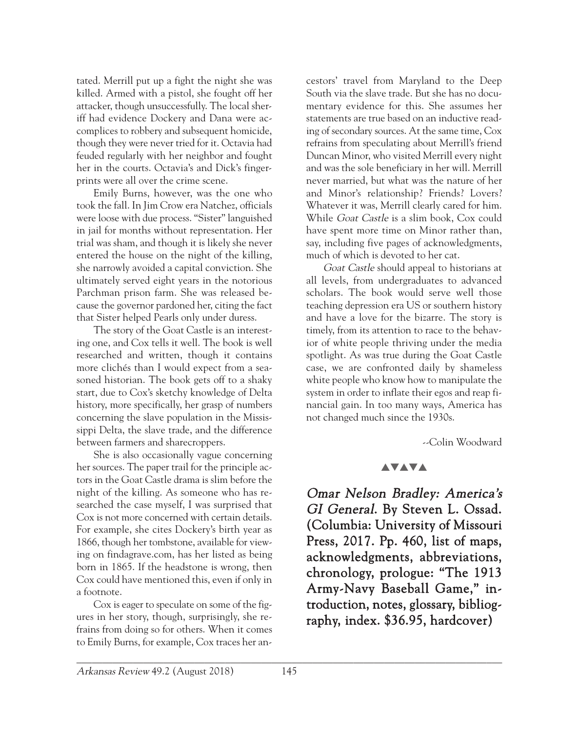tated. Merrill put up a fight the night she was killed. Armed with a pistol, she fought off her attacker, though unsuccessfully. The local sheriff had evidence Dockery and Dana were accomplices to robbery and subsequent homicide, though they were never tried for it. Octavia had feuded regularly with her neighbor and fought her in the courts. Octavia's and Dick's fingerprints were all over the crime scene.

Emily Burns, however, was the one who took the fall. In Jim Crow era Natchez, officials were loose with due process. "Sister" languished in jail for months without representation. Her trial was sham, and though it is likely she never entered the house on the night of the killing, she narrowly avoided a capital conviction. She ultimately served eight years in the notorious Parchman prison farm. She was released because the governor pardoned her, citing the fact that Sister helped Pearls only under duress.

The story of the Goat Castle is an interesting one, and Cox tells it well. The book is well researched and written, though it contains more clichés than I would expect from a seasoned historian. The book gets off to a shaky start, due to Cox's sketchy knowledge of Delta history, more specifically, her grasp of numbers concerning the slave population in the Mississippi Delta, the slave trade, and the difference between farmers and sharecroppers.

She is also occasionally vague concerning her sources. The paper trail for the principle actors in the Goat Castle drama is slim before the night of the killing. As someone who has researched the case myself, I was surprised that Cox is not more concerned with certain details. For example, she cites Dockery's birth year as 1866, though her tombstone, available for viewing on findagrave.com, has her listed as being born in 1865. If the headstone is wrong, then Cox could have mentioned this, even if only in a footnote.

Cox is eager to speculate on some of the figures in her story, though, surprisingly, she refrains from doing so for others. When it comes to Emily Burns, for example, Cox traces her ancestors' travel from Maryland to the Deep South via the slave trade. But she has no documentary evidence for this. She assumes her statements are true based on an inductive reading of secondary sources. At the same time, Cox refrains from speculating about Merrill's friend Duncan Minor, who visited Merrill every night and was the sole beneficiary in her will. Merrill never married, but what was the nature of her and Minor's relationship? Friends? Lovers? Whatever it was, Merrill clearly cared for him. While Goat Castle is a slim book, Cox could have spent more time on Minor rather than, say, including five pages of acknowledgments, much of which is devoted to her cat.

Goat Castle should appeal to historians at all levels, from undergraduates to advanced scholars. The book would serve well those teaching depression era US or southern history and have a love for the bizarre. The story is timely, from its attention to race to the behavior of white people thriving under the media spotlight. As was true during the Goat Castle case, we are confronted daily by shameless white people who know how to manipulate the system in order to inflate their egos and reap financial gain. In too many ways, America has not changed much since the 1930s.

--Colin Woodward

#### **AVAVA**

Omar Nelson Bradley: America's GI General. By Steven L. Ossad. (Columbia: University of Missouri Press, 2017. Pp. 460, list of maps, acknowledgments, abbreviations, chronology, prologue: "The 1913 Army-Navy Baseball Game," introduction, notes, glossary, bibliography, index. \$36.95, hardcover)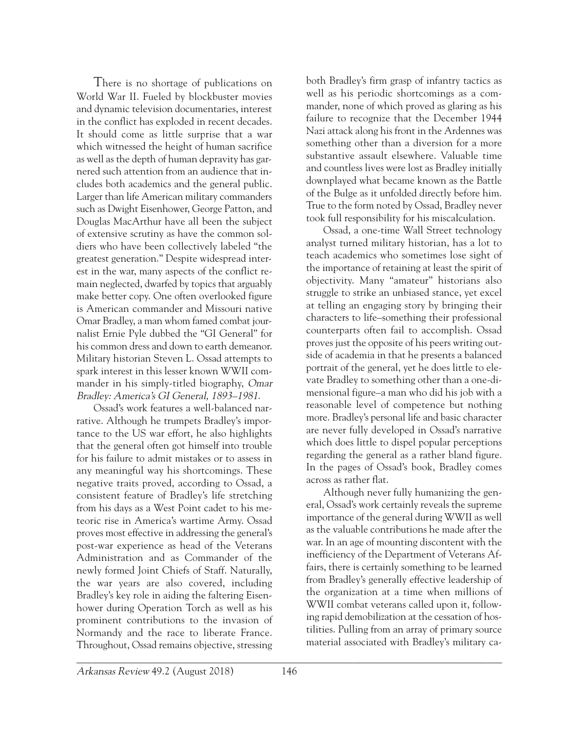There is no shortage of publications on World War II. Fueled by blockbuster movies and dynamic television documentaries, interest in the conflict has exploded in recent decades. It should come as little surprise that a war which witnessed the height of human sacrifice as well as the depth of human depravity has garnered such attention from an audience that includes both academics and the general public. Larger than life American military commanders such as Dwight Eisenhower, George Patton, and Douglas MacArthur have all been the subject of extensive scrutiny as have the common soldiers who have been collectively labeled "the greatest generation." Despite widespread interest in the war, many aspects of the conflict remain neglected, dwarfed by topics that arguably make better copy. One often overlooked figure is American commander and Missouri native Omar Bradley, a man whom famed combat journalist Ernie Pyle dubbed the "GI General" for his common dress and down to earth demeanor. Military historian Steven L. Ossad attempts to spark interest in this lesser known WWII commander in his simply-titled biography, Omar Bradley: America's GI General, 1893–1981.

Ossad's work features a well-balanced narrative. Although he trumpets Bradley's importance to the US war effort, he also highlights that the general often got himself into trouble for his failure to admit mistakes or to assess in any meaningful way his shortcomings. These negative traits proved, according to Ossad, a consistent feature of Bradley's life stretching from his days as a West Point cadet to his meteoric rise in America's wartime Army. Ossad proves most effective in addressing the general's post-war experience as head of the Veterans Administration and as Commander of the newly formed Joint Chiefs of Staff. Naturally, the war years are also covered, including Bradley's key role in aiding the faltering Eisenhower during Operation Torch as well as his prominent contributions to the invasion of Normandy and the race to liberate France. Throughout, Ossad remains objective, stressing

both Bradley's firm grasp of infantry tactics as well as his periodic shortcomings as a commander, none of which proved as glaring as his failure to recognize that the December 1944 Nazi attack along his front in the Ardennes was something other than a diversion for a more substantive assault elsewhere. Valuable time and countless lives were lost as Bradley initially downplayed what became known as the Battle of the Bulge as it unfolded directly before him. True to the form noted by Ossad, Bradley never took full responsibility for his miscalculation.

Ossad, a one-time Wall Street technology analyst turned military historian, has a lot to teach academics who sometimes lose sight of the importance of retaining at least the spirit of objectivity. Many "amateur" historians also struggle to strike an unbiased stance, yet excel at telling an engaging story by bringing their characters to life–something their professional counterparts often fail to accomplish. Ossad proves just the opposite of his peers writing outside of academia in that he presents a balanced portrait of the general, yet he does little to elevate Bradley to something other than a one-dimensional figure–a man who did his job with a reasonable level of competence but nothing more. Bradley's personal life and basic character are never fully developed in Ossad's narrative which does little to dispel popular perceptions regarding the general as a rather bland figure. In the pages of Ossad's book, Bradley comes across as rather flat.

Although never fully humanizing the general, Ossad's work certainly reveals the supreme importance of the general during WWII as well as the valuable contributions he made after the war. In an age of mounting discontent with the inefficiency of the Department of Veterans Affairs, there is certainly something to be learned from Bradley's generally effective leadership of the organization at a time when millions of WWII combat veterans called upon it, following rapid demobilization at the cessation of hostilities. Pulling from an array of primary source material associated with Bradley's military ca-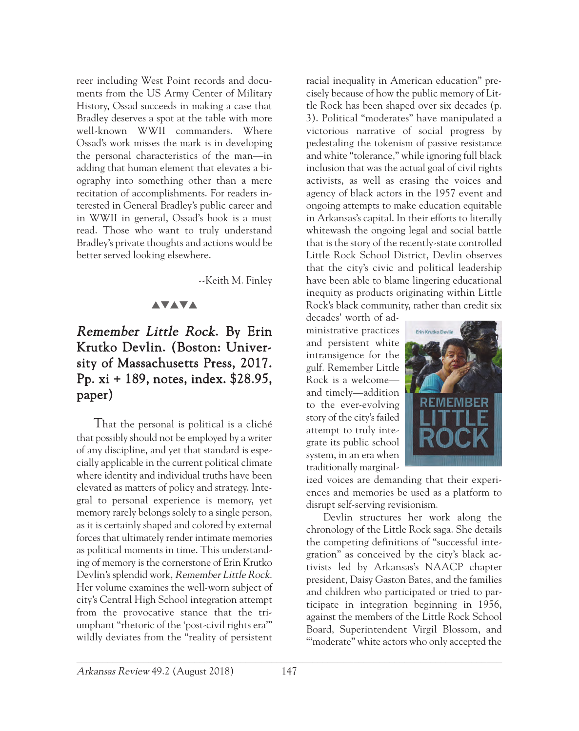reer including West Point records and documents from the US Army Center of Military History, Ossad succeeds in making a case that Bradley deserves a spot at the table with more well-known WWII commanders. Where Ossad's work misses the mark is in developing the personal characteristics of the man—in adding that human element that elevates a biography into something other than a mere recitation of accomplishments. For readers interested in General Bradley's public career and in WWII in general, Ossad's book is a must read. Those who want to truly understand Bradley's private thoughts and actions would be better served looking elsewhere.

--Keith M. Finley

### **AVAVA**

## Remember Little Rock. By Erin Krutko Devlin. (Boston: University of Massachusetts Press, 2017. Pp. xi + 189, notes, index. \$28.95, paper)

That the personal is political is a cliché that possibly should not be employed by a writer of any discipline, and yet that standard is especially applicable in the current political climate where identity and individual truths have been elevated as matters of policy and strategy. Integral to personal experience is memory, yet memory rarely belongs solely to a single person, as it is certainly shaped and colored by external forces that ultimately render intimate memories as political moments in time. This understanding of memory is the cornerstone of Erin Krutko Devlin's splendid work, Remember Little Rock. Her volume examines the well-worn subject of city's Central High School integration attempt from the provocative stance that the triumphant "rhetoric of the 'post-civil rights era'" wildly deviates from the "reality of persistent racial inequality in American education" precisely because of how the public memory of Little Rock has been shaped over six decades (p. 3). Political "moderates" have manipulated a victorious narrative of social progress by pedestaling the tokenism of passive resistance and white "tolerance," while ignoring full black inclusion that was the actual goal of civil rights activists, as well as erasing the voices and agency of black actors in the 1957 event and ongoing attempts to make education equitable in Arkansas's capital. In their efforts to literally whitewash the ongoing legal and social battle that is the story of the recently-state controlled Little Rock School District, Devlin observes that the city's civic and political leadership have been able to blame lingering educational inequity as products originating within Little Rock's black community, rather than credit six

decades' worth of administrative practices and persistent white intransigence for the gulf. Remember Little Rock is a welcome and timely—addition to the ever-evolving story of the city's failed attempt to truly integrate its public school system, in an era when traditionally marginal-



ized voices are demanding that their experiences and memories be used as a platform to disrupt self-serving revisionism.

Devlin structures her work along the chronology of the Little Rock saga. She details the competing definitions of "successful integration" as conceived by the city's black activists led by Arkansas's NAACP chapter president, Daisy Gaston Bates, and the families and children who participated or tried to participate in integration beginning in 1956, against the members of the Little Rock School Board, Superintendent Virgil Blossom, and "'moderate" white actors who only accepted the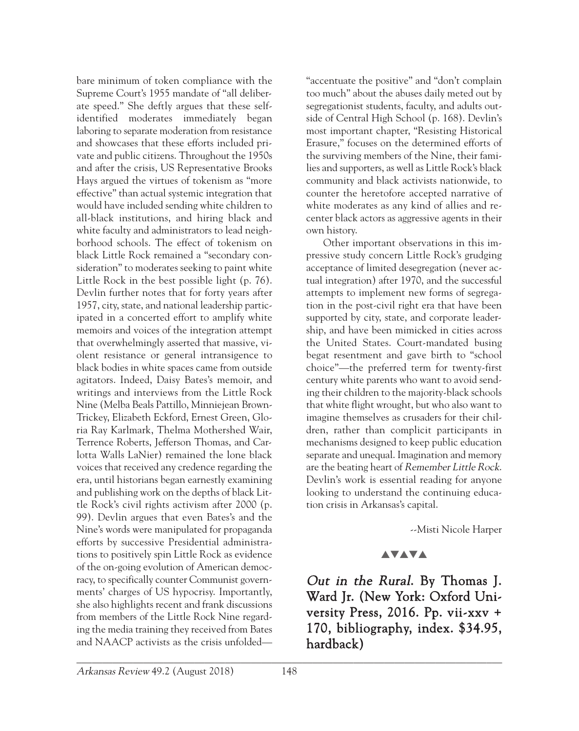bare minimum of token compliance with the Supreme Court's 1955 mandate of "all deliberate speed." She deftly argues that these selfidentified moderates immediately began laboring to separate moderation from resistance and showcases that these efforts included private and public citizens. Throughout the 1950s and after the crisis, US Representative Brooks Hays argued the virtues of tokenism as "more effective" than actual systemic integration that would have included sending white children to all-black institutions, and hiring black and white faculty and administrators to lead neighborhood schools. The effect of tokenism on black Little Rock remained a "secondary consideration" to moderates seeking to paint white Little Rock in the best possible light (p. 76). Devlin further notes that for forty years after 1957, city, state, and national leadership participated in a concerted effort to amplify white memoirs and voices of the integration attempt that overwhelmingly asserted that massive, violent resistance or general intransigence to black bodies in white spaces came from outside agitators. Indeed, Daisy Bates's memoir, and writings and interviews from the Little Rock Nine (Melba Beals Pattillo, Minniejean Brown-Trickey, Elizabeth Eckford, Ernest Green, Gloria Ray Karlmark, Thelma Mothershed Wair, Terrence Roberts, Jefferson Thomas, and Carlotta Walls LaNier) remained the lone black voices that received any credence regarding the era, until historians began earnestly examining and publishing work on the depths of black Little Rock's civil rights activism after 2000 (p. 99). Devlin argues that even Bates's and the Nine's words were manipulated for propaganda efforts by successive Presidential administrations to positively spin Little Rock as evidence of the on-going evolution of American democracy, to specifically counter Communist governments' charges of US hypocrisy. Importantly, she also highlights recent and frank discussions from members of the Little Rock Nine regarding the media training they received from Bates and NAACP activists as the crisis unfolded"accentuate the positive" and "don't complain too much" about the abuses daily meted out by segregationist students, faculty, and adults outside of Central High School (p. 168). Devlin's most important chapter, "Resisting Historical Erasure," focuses on the determined efforts of the surviving members of the Nine, their families and supporters, as well as Little Rock's black community and black activists nationwide, to counter the heretofore accepted narrative of white moderates as any kind of allies and recenter black actors as aggressive agents in their own history.

Other important observations in this impressive study concern Little Rock's grudging acceptance of limited desegregation (never actual integration) after 1970, and the successful attempts to implement new forms of segregation in the post-civil right era that have been supported by city, state, and corporate leadership, and have been mimicked in cities across the United States. Court-mandated busing begat resentment and gave birth to "school choice"—the preferred term for twenty-first century white parents who want to avoid sending their children to the majority-black schools that white flight wrought, but who also want to imagine themselves as crusaders for their children, rather than complicit participants in mechanisms designed to keep public education separate and unequal. Imagination and memory are the beating heart of Remember Little Rock. Devlin's work is essential reading for anyone looking to understand the continuing education crisis in Arkansas's capital.

--Misti Nicole Harper

#### **AVAVA**

Out in the Rural. By Thomas J. Ward Jr. (New York: Oxford University Press, 2016. Pp. vii-xxv + 170, bibliography, index. \$34.95, hardback)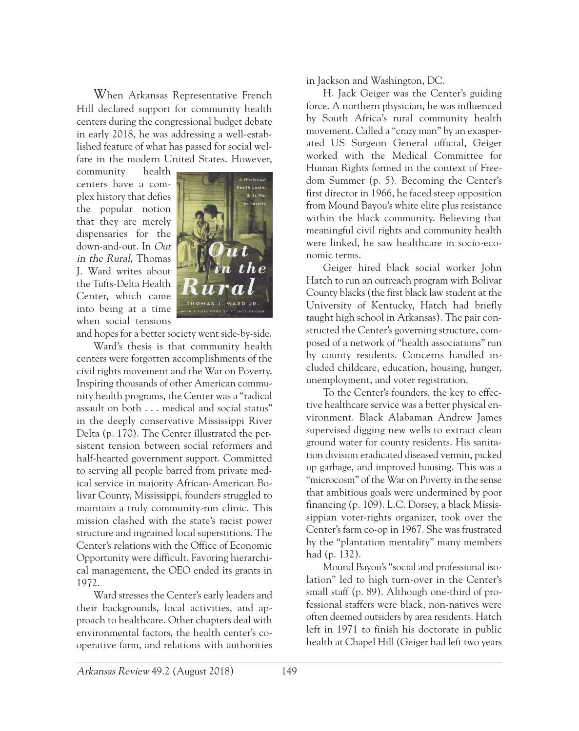When Arkansas Representative French Hill declared support for community health centers during the congressional budget debate in early 2018, he was addressing a well-established feature of what has passed for social welfare in the modern United States. However,

community health centers have a complex history that defies the popular notion that they are merely dispensaries for the down-and-out. In Out in the Rural, Thomas J. Ward writes about the Tufts-Delta Health Center, which came into being at a time when social tensions



and hopes for a better society went side-by-side.

Ward's thesis is that community health centers were forgotten accomplishments of the civil rights movement and the War on Poverty. Inspiring thousands of other American community health programs, the Center was a "radical assault on both . . . medical and social status" in the deeply conservative Mississippi River Delta (p. 170). The Center illustrated the persistent tension between social reformers and half-hearted government support. Committed to serving all people barred from private medical service in majority African-American Bolivar County, Mississippi, founders struggled to maintain a truly community-run clinic. This mission clashed with the state's racist power structure and ingrained local superstitions. The Center's relations with the Office of Economic Opportunity were difficult. Favoring hierarchical management, the OEO ended its grants in 1972.

Ward stresses the Center's early leaders and their backgrounds, local activities, and approach to healthcare. Other chapters deal with environmental factors, the health center's cooperative farm, and relations with authorities in Jackson and Washington, DC.

H. Jack Geiger was the Center's guiding force. A northern physician, he was influenced by South Africa's rural community health movement. Called a "crazy man" by an exasperated US Surgeon General official, Geiger worked with the Medical Committee for Human Rights formed in the context of Freedom Summer (p. 5). Becoming the Center's first director in 1966, he faced steep opposition from Mound Bayou's white elite plus resistance within the black community. Believing that meaningful civil rights and community health were linked, he saw healthcare in socio-economic terms.

Geiger hired black social worker John Hatch to run an outreach program with Bolivar County blacks (the first black law student at the University of Kentucky, Hatch had briefly taught high school in Arkansas). The pair constructed the Center's governing structure, composed of a network of "health associations" run by county residents. Concerns handled included childcare, education, housing, hunger, unemployment, and voter registration.

To the Center's founders, the key to effective healthcare service was a better physical environment. Black Alabaman Andrew James supervised digging new wells to extract clean ground water for county residents. His sanitation division eradicated diseased vermin, picked up garbage, and improved housing. This was a "microcosm" of the War on Poverty in the sense that ambitious goals were undermined by poor financing (p. 109). L.C. Dorsey, a black Mississippian voter-rights organizer, took over the Center's farm co-op in 1967. She was frustrated by the "plantation mentality" many members had (p. 132).

Mound Bayou's "social and professional isolation" led to high turn-over in the Center's small staff (p. 89). Although one-third of professional staffers were black, non-natives were often deemed outsiders by area residents. Hatch left in 1971 to finish his doctorate in public health at Chapel Hill (Geiger had left two years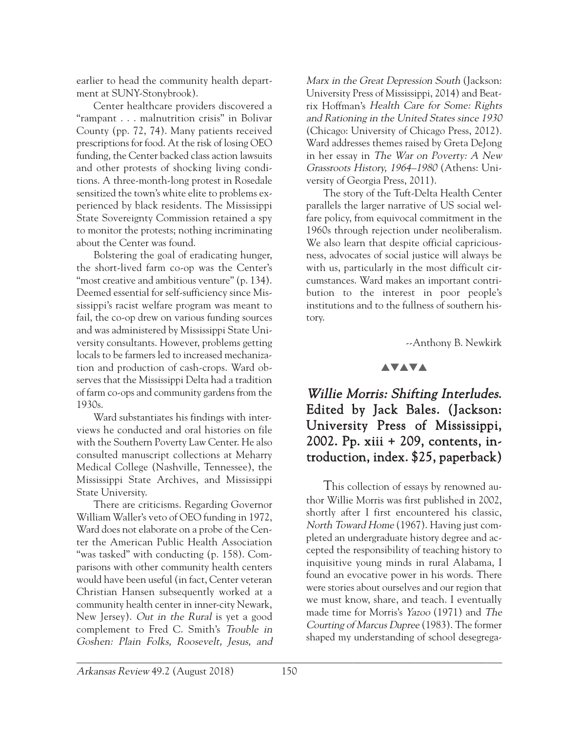earlier to head the community health department at SUNY-Stonybrook).

Center healthcare providers discovered a "rampant . . . malnutrition crisis" in Bolivar County (pp. 72, 74). Many patients received prescriptions for food. At the risk of losing OEO funding, the Center backed class action lawsuits and other protests of shocking living conditions. A three-month-long protest in Rosedale sensitized the town's white elite to problems experienced by black residents. The Mississippi State Sovereignty Commission retained a spy to monitor the protests; nothing incriminating about the Center was found.

Bolstering the goal of eradicating hunger, the short-lived farm co-op was the Center's "most creative and ambitious venture" (p. 134). Deemed essential for self-sufficiency since Mississippi's racist welfare program was meant to fail, the co-op drew on various funding sources and was administered by Mississippi State University consultants. However, problems getting locals to be farmers led to increased mechanization and production of cash-crops. Ward observes that the Mississippi Delta had a tradition of farm co-ops and community gardens from the 1930s.

Ward substantiates his findings with interviews he conducted and oral histories on file with the Southern Poverty Law Center. He also consulted manuscript collections at Meharry Medical College (Nashville, Tennessee), the Mississippi State Archives, and Mississippi State University.

There are criticisms. Regarding Governor William Waller's veto of OEO funding in 1972, Ward does not elaborate on a probe of the Center the American Public Health Association "was tasked" with conducting (p. 158). Comparisons with other community health centers would have been useful (in fact, Center veteran Christian Hansen subsequently worked at a community health center in inner-city Newark, New Jersey). Out in the Rural is yet a good complement to Fred C. Smith's Trouble in Goshen: Plain Folks, Roosevelt, Jesus, and Marx in the Great Depression South (Jackson: University Press of Mississippi, 2014) and Beatrix Hoffman's Health Care for Some: Rights and Rationing in the United States since 1930 (Chicago: University of Chicago Press, 2012). Ward addresses themes raised by Greta DeJong in her essay in The War on Poverty: A New Grassroots History, 1964–1980 (Athens: University of Georgia Press, 2011).

The story of the Tuft-Delta Health Center parallels the larger narrative of US social welfare policy, from equivocal commitment in the 1960s through rejection under neoliberalism. We also learn that despite official capriciousness, advocates of social justice will always be with us, particularly in the most difficult circumstances. Ward makes an important contribution to the interest in poor people's institutions and to the fullness of southern history.

--Anthony B. Newkirk

#### **AVAVA**

## Willie Morris: Shifting Interludes. Edited by Jack Bales. (Jackson: University Press of Mississippi, 2002. Pp. xiii + 209, contents, introduction, index. \$25, paperback)

This collection of essays by renowned author Willie Morris was first published in 2002, shortly after I first encountered his classic, North Toward Home (1967). Having just completed an undergraduate history degree and accepted the responsibility of teaching history to inquisitive young minds in rural Alabama, I found an evocative power in his words. There were stories about ourselves and our region that we must know, share, and teach. I eventually made time for Morris's Yazoo (1971) and The Courting of Marcus Dupree (1983). The former shaped my understanding of school desegrega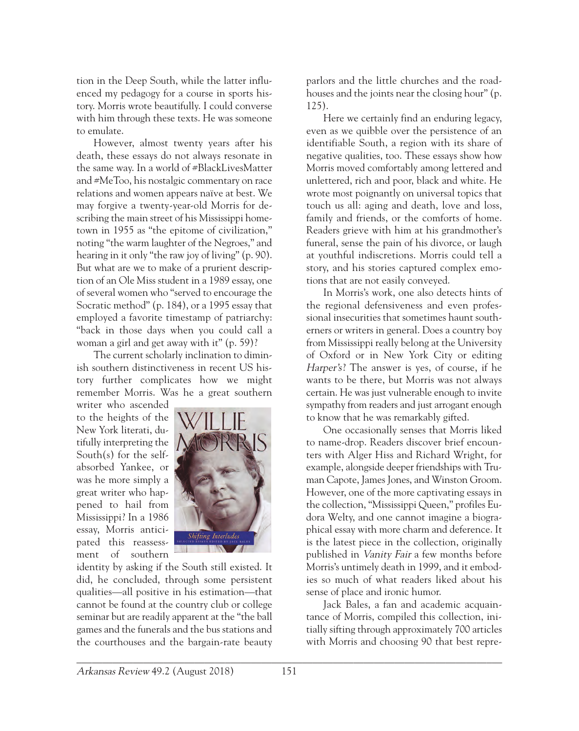tion in the Deep South, while the latter influenced my pedagogy for a course in sports history. Morris wrote beautifully. I could converse with him through these texts. He was someone to emulate.

However, almost twenty years after his death, these essays do not always resonate in the same way. In a world of #BlackLivesMatter and #MeToo, his nostalgic commentary on race relations and women appears naïve at best. We may forgive a twenty-year-old Morris for describing the main street of his Mississippi hometown in 1955 as "the epitome of civilization," noting "the warm laughter of the Negroes," and hearing in it only "the raw joy of living" (p. 90). But what are we to make of a prurient description of an Ole Miss student in a 1989 essay, one of several women who "served to encourage the Socratic method" (p. 184), or a 1995 essay that employed a favorite timestamp of patriarchy: "back in those days when you could call a woman a girl and get away with it" (p. 59)?

The current scholarly inclination to diminish southern distinctiveness in recent US history further complicates how we might remember Morris. Was he a great southern

writer who ascended to the heights of the New York literati, dutifully interpreting the South(s) for the selfabsorbed Yankee, or was he more simply a great writer who happened to hail from Mississippi? In a 1986 essay, Morris anticipated this reassessment of southern



identity by asking if the South still existed. It did, he concluded, through some persistent qualities—all positive in his estimation—that cannot be found at the country club or college seminar but are readily apparent at the "the ball games and the funerals and the bus stations and the courthouses and the bargain-rate beauty

parlors and the little churches and the roadhouses and the joints near the closing hour" (p. 125).

Here we certainly find an enduring legacy, even as we quibble over the persistence of an identifiable South, a region with its share of negative qualities, too. These essays show how Morris moved comfortably among lettered and unlettered, rich and poor, black and white. He wrote most poignantly on universal topics that touch us all: aging and death, love and loss, family and friends, or the comforts of home. Readers grieve with him at his grandmother's funeral, sense the pain of his divorce, or laugh at youthful indiscretions. Morris could tell a story, and his stories captured complex emotions that are not easily conveyed.

In Morris's work, one also detects hints of the regional defensiveness and even professional insecurities that sometimes haunt southerners or writers in general. Does a country boy from Mississippi really belong at the University of Oxford or in New York City or editing Harper's? The answer is yes, of course, if he wants to be there, but Morris was not always certain. He was just vulnerable enough to invite sympathy from readers and just arrogant enough to know that he was remarkably gifted.

One occasionally senses that Morris liked to name-drop. Readers discover brief encounters with Alger Hiss and Richard Wright, for example, alongside deeper friendships with Truman Capote, James Jones, and Winston Groom. However, one of the more captivating essays in the collection, "Mississippi Queen," profiles Eudora Welty, and one cannot imagine a biographical essay with more charm and deference. It is the latest piece in the collection, originally published in Vanity Fair a few months before Morris's untimely death in 1999, and it embodies so much of what readers liked about his sense of place and ironic humor.

Jack Bales, a fan and academic acquaintance of Morris, compiled this collection, initially sifting through approximately 700 articles with Morris and choosing 90 that best repre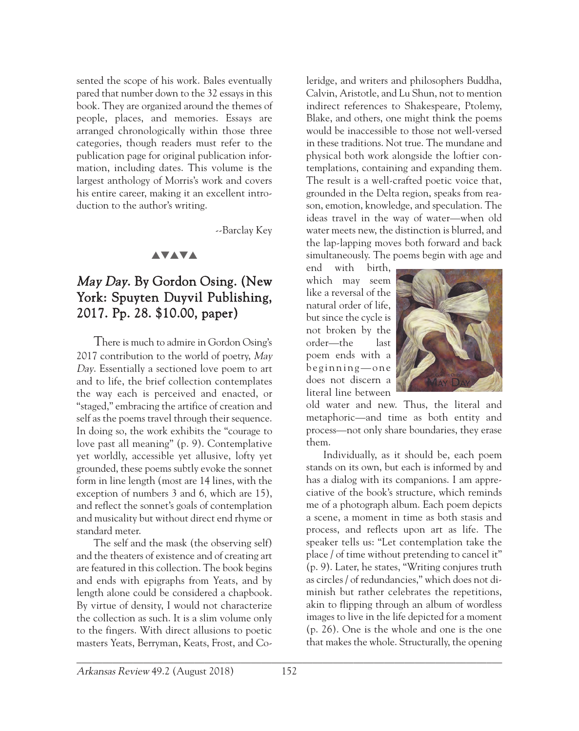sented the scope of his work. Bales eventually pared that number down to the 32 essays in this book. They are organized around the themes of people, places, and memories. Essays are arranged chronologically within those three categories, though readers must refer to the publication page for original publication information, including dates. This volume is the largest anthology of Morris's work and covers his entire career, making it an excellent introduction to the author's writing.

--Barclay Key

#### **AVAVA**

## May Day. By Gordon Osing. (New York: Spuyten Duyvil Publishing, 2017. Pp. 28. \$10.00, paper)

There is much to admire in Gordon Osing's 2017 contribution to the world of poetry, May Day. Essentially a sectioned love poem to art and to life, the brief collection contemplates the way each is perceived and enacted, or "staged," embracing the artifice of creation and self as the poems travel through their sequence. In doing so, the work exhibits the "courage to love past all meaning" (p. 9). Contemplative yet worldly, accessible yet allusive, lofty yet grounded, these poems subtly evoke the sonnet form in line length (most are 14 lines, with the exception of numbers 3 and 6, which are 15), and reflect the sonnet's goals of contemplation and musicality but without direct end rhyme or standard meter.

The self and the mask (the observing self) and the theaters of existence and of creating art are featured in this collection. The book begins and ends with epigraphs from Yeats, and by length alone could be considered a chapbook. By virtue of density, I would not characterize the collection as such. It is a slim volume only to the fingers. With direct allusions to poetic masters Yeats, Berryman, Keats, Frost, and Co-

leridge, and writers and philosophers Buddha, Calvin, Aristotle, and Lu Shun, not to mention indirect references to Shakespeare, Ptolemy, Blake, and others, one might think the poems would be inaccessible to those not well-versed in these traditions. Not true. The mundane and physical both work alongside the loftier contemplations, containing and expanding them. The result is a well-crafted poetic voice that, grounded in the Delta region, speaks from reason, emotion, knowledge, and speculation. The ideas travel in the way of water—when old water meets new, the distinction is blurred, and the lap-lapping moves both forward and back simultaneously. The poems begin with age and

end with birth, which may seem like a reversal of the natural order of life, but since the cycle is not broken by the order—the last poem ends with a  $begining$  -  $one$ does not discern a literal line between



old water and new. Thus, the literal and metaphoric—and time as both entity and process—not only share boundaries, they erase them.

Individually, as it should be, each poem stands on its own, but each is informed by and has a dialog with its companions. I am appreciative of the book's structure, which reminds me of a photograph album. Each poem depicts a scene, a moment in time as both stasis and process, and reflects upon art as life. The speaker tells us: "Let contemplation take the place / of time without pretending to cancel it" (p. 9). Later, he states, "Writing conjures truth as circles / of redundancies," which does not diminish but rather celebrates the repetitions, akin to flipping through an album of wordless images to live in the life depicted for a moment (p. 26). One is the whole and one is the one that makes the whole. Structurally, the opening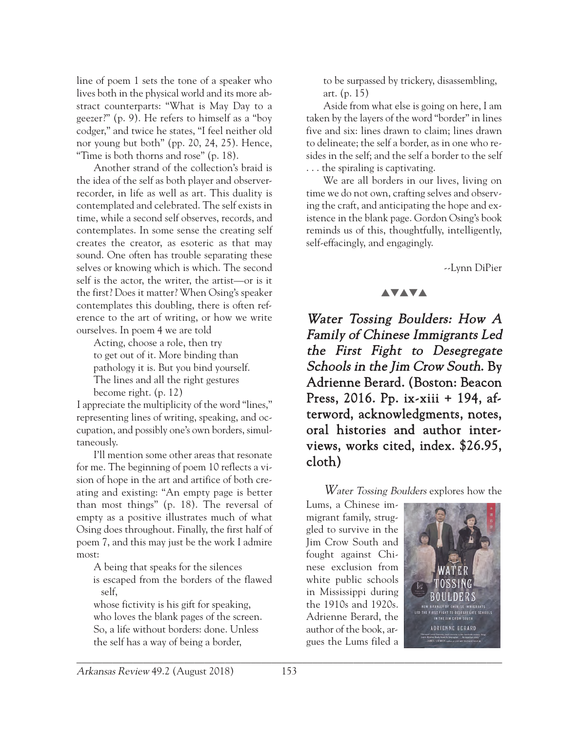line of poem 1 sets the tone of a speaker who lives both in the physical world and its more abstract counterparts: "What is May Day to a geezer?" (p. 9). He refers to himself as a "boy codger," and twice he states, "I feel neither old nor young but both" (pp. 20, 24, 25). Hence, "Time is both thorns and rose" (p. 18).

Another strand of the collection's braid is the idea of the self as both player and observerrecorder, in life as well as art. This duality is contemplated and celebrated. The self exists in time, while a second self observes, records, and contemplates. In some sense the creating self creates the creator, as esoteric as that may sound. One often has trouble separating these selves or knowing which is which. The second self is the actor, the writer, the artist—or is it the first? Does it matter? When Osing's speaker contemplates this doubling, there is often reference to the art of writing, or how we write ourselves. In poem 4 we are told

Acting, choose a role, then try to get out of it. More binding than pathology it is. But you bind yourself. The lines and all the right gestures become right. (p. 12)

I appreciate the multiplicity of the word "lines," representing lines of writing, speaking, and occupation, and possibly one's own borders, simultaneously.

I'll mention some other areas that resonate for me. The beginning of poem 10 reflects a vision of hope in the art and artifice of both creating and existing: "An empty page is better than most things" (p. 18). The reversal of empty as a positive illustrates much of what Osing does throughout. Finally, the first half of poem 7, and this may just be the work I admire most:

A being that speaks for the silences

is escaped from the borders of the flawed self,

whose fictivity is his gift for speaking, who loves the blank pages of the screen. So, a life without borders: done. Unless the self has a way of being a border,

to be surpassed by trickery, disassembling, art. (p. 15)

Aside from what else is going on here, I am taken by the layers of the word "border" in lines five and six: lines drawn to claim; lines drawn to delineate; the self a border, as in one who resides in the self; and the self a border to the self . . . the spiraling is captivating.

We are all borders in our lives, living on time we do not own, crafting selves and observing the craft, and anticipating the hope and existence in the blank page. Gordon Osing's book reminds us of this, thoughtfully, intelligently, self-effacingly, and engagingly.

--Lynn DiPier

#### **AVAVA**

Water Tossing Boulders: How A Family of Chinese Immigrants Led the First Fight to Desegregate Schools in the Jim Crow South. By Adrienne Berard. (Boston: Beacon Press, 2016. Pp. ix-xiii + 194, afterword, acknowledgments, notes, oral histories and author interviews, works cited, index. \$26.95, cloth)

Water Tossing Boulders explores how the

Lums, a Chinese immigrant family, struggled to survive in the Jim Crow South and fought against Chinese exclusion from white public schools in Mississippi during the 1910s and 1920s. Adrienne Berard, the author of the book, argues the Lums filed a

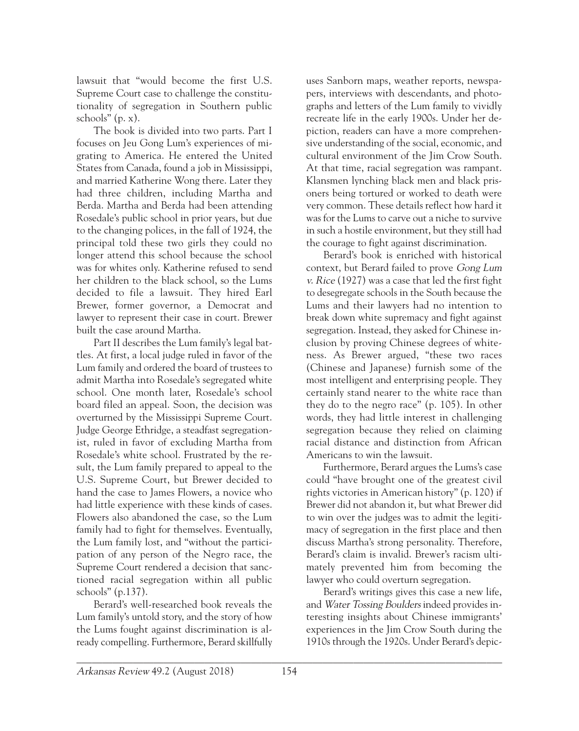lawsuit that "would become the first U.S. Supreme Court case to challenge the constitutionality of segregation in Southern public schools" (p. x).

The book is divided into two parts. Part I focuses on Jeu Gong Lum's experiences of migrating to America. He entered the United States from Canada, found a job in Mississippi, and married Katherine Wong there. Later they had three children, including Martha and Berda. Martha and Berda had been attending Rosedale's public school in prior years, but due to the changing polices, in the fall of 1924, the principal told these two girls they could no longer attend this school because the school was for whites only. Katherine refused to send her children to the black school, so the Lums decided to file a lawsuit. They hired Earl Brewer, former governor, a Democrat and lawyer to represent their case in court. Brewer built the case around Martha.

Part II describes the Lum family's legal battles. At first, a local judge ruled in favor of the Lum family and ordered the board of trustees to admit Martha into Rosedale's segregated white school. One month later, Rosedale's school board filed an appeal. Soon, the decision was overturned by the Mississippi Supreme Court. Judge George Ethridge, a steadfast segregationist, ruled in favor of excluding Martha from Rosedale's white school. Frustrated by the result, the Lum family prepared to appeal to the U.S. Supreme Court, but Brewer decided to hand the case to James Flowers, a novice who had little experience with these kinds of cases. Flowers also abandoned the case, so the Lum family had to fight for themselves. Eventually, the Lum family lost, and "without the participation of any person of the Negro race, the Supreme Court rendered a decision that sanctioned racial segregation within all public schools" (p.137).

Berard's well-researched book reveals the Lum family's untold story, and the story of how the Lums fought against discrimination is already compelling. Furthermore, Berard skillfully uses Sanborn maps, weather reports, newspapers, interviews with descendants, and photographs and letters of the Lum family to vividly recreate life in the early 1900s. Under her depiction, readers can have a more comprehensive understanding of the social, economic, and cultural environment of the Jim Crow South. At that time, racial segregation was rampant. Klansmen lynching black men and black prisoners being tortured or worked to death were very common. These details reflect how hard it was for the Lums to carve out a niche to survive in such a hostile environment, but they still had the courage to fight against discrimination.

Berard's book is enriched with historical context, but Berard failed to prove Gong Lum v. Rice (1927) was a case that led the first fight to desegregate schools in the South because the Lums and their lawyers had no intention to break down white supremacy and fight against segregation. Instead, they asked for Chinese inclusion by proving Chinese degrees of whiteness. As Brewer argued, "these two races (Chinese and Japanese) furnish some of the most intelligent and enterprising people. They certainly stand nearer to the white race than they do to the negro race" (p. 105). In other words, they had little interest in challenging segregation because they relied on claiming racial distance and distinction from African Americans to win the lawsuit.

Furthermore, Berard argues the Lums's case could "have brought one of the greatest civil rights victories in American history" (p. 120) if Brewer did not abandon it, but what Brewer did to win over the judges was to admit the legitimacy of segregation in the first place and then discuss Martha's strong personality. Therefore, Berard's claim is invalid. Brewer's racism ultimately prevented him from becoming the lawyer who could overturn segregation.

Berard's writings gives this case a new life, and Water Tossing Boulders indeed provides interesting insights about Chinese immigrants' experiences in the Jim Crow South during the 1910s through the 1920s. Under Berard's depic-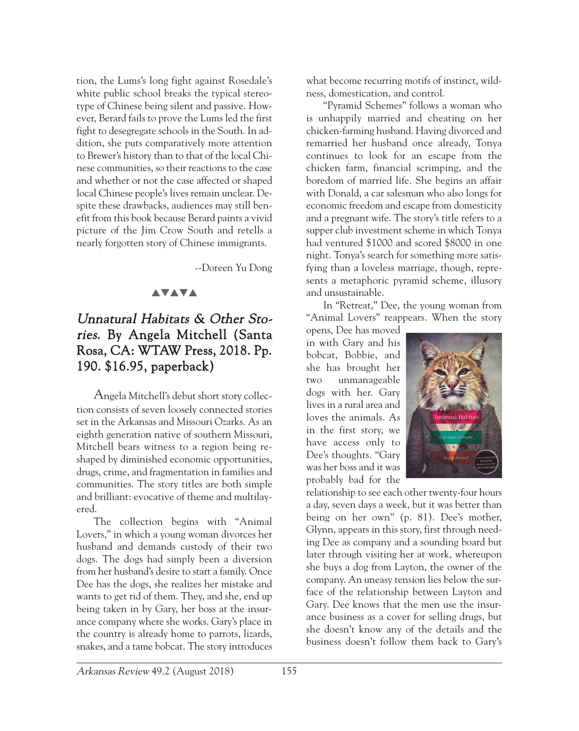tion, the Lums's long fight against Rosedale's white public school breaks the typical stereotype of Chinese being silent and passive. However, Berard fails to prove the Lums led the first fight to desegregate schools in the South. In addition, she puts comparatively more attention to Brewer's history than to that of the local Chinese communities, so their reactions to the case and whether or not the case affected or shaped local Chinese people's lives remain unclear. Despite these drawbacks, audiences may still benefit from this book because Berard paints a vivid picture of the Jim Crow South and retells a nearly forgotten story of Chinese immigrants.

--Doreen Yu Dong

#### **AVAVA**

## Unnatural Habitats & Other Stories. By Angela Mitchell (Santa Rosa, CA: WTAW Press, 2018. Pp. 190. \$16.95, paperback)

Angela Mitchell's debut short story collection consists of seven loosely connected stories set in the Arkansas and Missouri Ozarks. As an eighth generation native of southern Missouri, Mitchell bears witness to a region being reshaped by diminished economic opportunities, drugs, crime, and fragmentation in families and communities. The story titles are both simple and brilliant: evocative of theme and multilayered.

The collection begins with "Animal Lovers," in which a young woman divorces her husband and demands custody of their two dogs. The dogs had simply been a diversion from her husband's desire to start a family. Once Dee has the dogs, she realizes her mistake and wants to get rid of them. They, and she, end up being taken in by Gary, her boss at the insurance company where she works. Gary's place in the country is already home to parrots, lizards, snakes, and a tame bobcat. The story introduces

what become recurring motifs of instinct, wildness, domestication, and control.

"Pyramid Schemes" follows a woman who is unhappily married and cheating on her chicken-farming husband. Having divorced and remarried her husband once already, Tonya continues to look for an escape from the chicken farm, financial scrimping, and the boredom of married life. She begins an affair with Donald, a car salesman who also longs for economic freedom and escape from domesticity and a pregnant wife. The story's title refers to a supper club investment scheme in which Tonya had ventured \$1000 and scored \$8000 in one night. Tonya's search for something more satisfying than a loveless marriage, though, represents a metaphoric pyramid scheme, illusory and unsustainable.

In "Retreat," Dee, the young woman from "Animal Lovers" reappears. When the story

opens, Dee has moved in with Gary and his bobcat, Bobbie, and she has brought her two unmanageable dogs with her. Gary lives in a rural area and loves the animals. As in the first story, we have access only to Dee's thoughts. "Gary was her boss and it was probably bad for the



relationship to see each other twenty-four hours a day, seven days a week, but it was better than being on her own" (p. 81). Dee's mother, Glynn, appears in this story, first through needing Dee as company and a sounding board but later through visiting her at work, whereupon she buys a dog from Layton, the owner of the company. An uneasy tension lies below the surface of the relationship between Layton and Gary. Dee knows that the men use the insurance business as a cover for selling drugs, but she doesn't know any of the details and the business doesn't follow them back to Gary's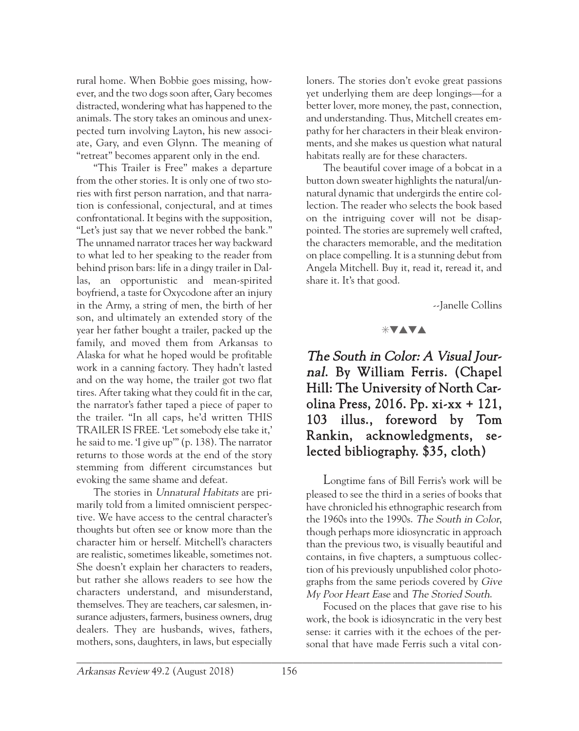rural home. When Bobbie goes missing, however, and the two dogs soon after, Gary becomes distracted, wondering what has happened to the animals. The story takes an ominous and unexpected turn involving Layton, his new associate, Gary, and even Glynn. The meaning of "retreat" becomes apparent only in the end.

"This Trailer is Free" makes a departure from the other stories. It is only one of two stories with first person narration, and that narration is confessional, conjectural, and at times confrontational. It begins with the supposition, "Let's just say that we never robbed the bank." The unnamed narrator traces her way backward to what led to her speaking to the reader from behind prison bars: life in a dingy trailer in Dallas, an opportunistic and mean-spirited boyfriend, a taste for Oxycodone after an injury in the Army, a string of men, the birth of her son, and ultimately an extended story of the year her father bought a trailer, packed up the family, and moved them from Arkansas to Alaska for what he hoped would be profitable work in a canning factory. They hadn't lasted and on the way home, the trailer got two flat tires. After taking what they could fit in the car, the narrator's father taped a piece of paper to the trailer. "In all caps, he'd written THIS TRAILER IS FREE. 'Let somebody else take it,' he said to me. 'I give up'" (p. 138). The narrator returns to those words at the end of the story stemming from different circumstances but evoking the same shame and defeat.

The stories in Unnatural Habitats are primarily told from a limited omniscient perspective. We have access to the central character's thoughts but often see or know more than the character him or herself. Mitchell's characters are realistic, sometimes likeable, sometimes not. She doesn't explain her characters to readers, but rather she allows readers to see how the characters understand, and misunderstand, themselves. They are teachers, car salesmen, insurance adjusters, farmers, business owners, drug dealers. They are husbands, wives, fathers, mothers, sons, daughters, in laws, but especially

loners. The stories don't evoke great passions yet underlying them are deep longings—for a better lover, more money, the past, connection, and understanding. Thus, Mitchell creates empathy for her characters in their bleak environments, and she makes us question what natural habitats really are for these characters.

The beautiful cover image of a bobcat in a button down sweater highlights the natural/unnatural dynamic that undergirds the entire collection. The reader who selects the book based on the intriguing cover will not be disappointed. The stories are supremely well crafted, the characters memorable, and the meditation on place compelling. It is a stunning debut from Angela Mitchell. Buy it, read it, reread it, and share it. It's that good.

--Janelle Collins

#### $*$ vava

The South in Color: A Visual Journal. By William Ferris. (Chapel Hill: The University of North Carolina Press, 2016. Pp. xi-xx + 121, 103 illus., foreword by Tom Rankin, acknowledgments, selected bibliography. \$35, cloth)

Longtime fans of Bill Ferris's work will be pleased to see the third in a series of books that have chronicled his ethnographic research from the 1960s into the 1990s. The South in Color, though perhaps more idiosyncratic in approach than the previous two, is visually beautiful and contains, in five chapters, a sumptuous collection of his previously unpublished color photographs from the same periods covered by Give My Poor Heart Ease and The Storied South.

Focused on the places that gave rise to his work, the book is idiosyncratic in the very best sense: it carries with it the echoes of the personal that have made Ferris such a vital con-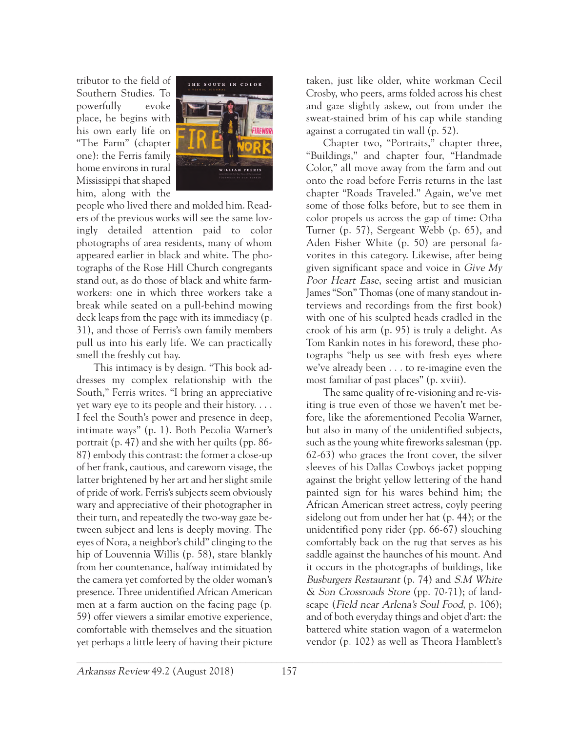tributor to the field of Southern Studies. To powerfully evoke place, he begins with his own early life on "The Farm" (chapter one): the Ferris family home environs in rural Mississippi that shaped him, along with the



people who lived there and molded him. Readers of the previous works will see the same lovingly detailed attention paid to color photographs of area residents, many of whom appeared earlier in black and white. The photographs of the Rose Hill Church congregants stand out, as do those of black and white farmworkers: one in which three workers take a break while seated on a pull-behind mowing deck leaps from the page with its immediacy (p. 31), and those of Ferris's own family members pull us into his early life. We can practically smell the freshly cut hay.

This intimacy is by design. "This book addresses my complex relationship with the South," Ferris writes. "I bring an appreciative yet wary eye to its people and their history. . . . I feel the South's power and presence in deep, intimate ways" (p. 1). Both Pecolia Warner's portrait (p. 47) and she with her quilts (pp. 86- 87) embody this contrast: the former a close-up of her frank, cautious, and careworn visage, the latter brightened by her art and her slight smile of pride of work. Ferris's subjects seem obviously wary and appreciative of their photographer in their turn, and repeatedly the two-way gaze between subject and lens is deeply moving. The eyes of Nora, a neighbor's child" clinging to the hip of Louvennia Willis (p. 58), stare blankly from her countenance, halfway intimidated by the camera yet comforted by the older woman's presence. Three unidentified African American men at a farm auction on the facing page (p. 59) offer viewers a similar emotive experience, comfortable with themselves and the situation yet perhaps a little leery of having their picture

taken, just like older, white workman Cecil Crosby, who peers, arms folded across his chest and gaze slightly askew, out from under the sweat-stained brim of his cap while standing against a corrugated tin wall (p. 52).

Chapter two, "Portraits," chapter three, "Buildings," and chapter four, "Handmade Color," all move away from the farm and out onto the road before Ferris returns in the last chapter "Roads Traveled." Again, we've met some of those folks before, but to see them in color propels us across the gap of time: Otha Turner (p. 57), Sergeant Webb (p. 65), and Aden Fisher White (p. 50) are personal favorites in this category. Likewise, after being given significant space and voice in  $Give My$ Poor Heart Ease, seeing artist and musician James "Son" Thomas (one of many standout interviews and recordings from the first book) with one of his sculpted heads cradled in the crook of his arm (p. 95) is truly a delight. As Tom Rankin notes in his foreword, these photographs "help us see with fresh eyes where we've already been . . . to re-imagine even the most familiar of past places" (p. xviii).

The same quality of re-visioning and re-visiting is true even of those we haven't met before, like the aforementioned Pecolia Warner, but also in many of the unidentified subjects, such as the young white fireworks salesman (pp. 62-63) who graces the front cover, the silver sleeves of his Dallas Cowboys jacket popping against the bright yellow lettering of the hand painted sign for his wares behind him; the African American street actress, coyly peering sidelong out from under her hat (p. 44); or the unidentified pony rider (pp. 66-67) slouching comfortably back on the rug that serves as his saddle against the haunches of his mount. And it occurs in the photographs of buildings, like Busburgers Restaurant (p. 74) and S.M White & Son Crossroads Store (pp. 70-71); of landscape (Field near Arlena's Soul Food, p. 106); and of both everyday things and objet d'art: the battered white station wagon of a watermelon vendor (p. 102) as well as Theora Hamblett's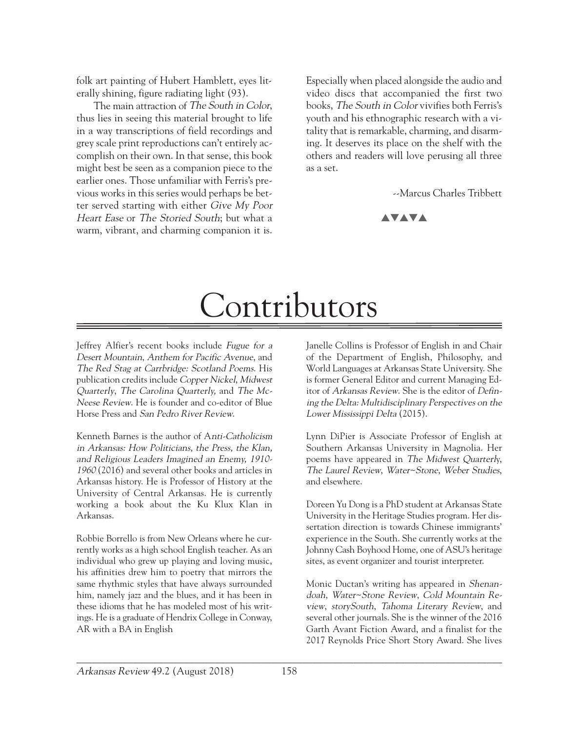folk art painting of Hubert Hamblett, eyes literally shining, figure radiating light (93).

The main attraction of The South in Color, thus lies in seeing this material brought to life in a way transcriptions of field recordings and grey scale print reproductions can't entirely accomplish on their own. In that sense, this book might best be seen as a companion piece to the earlier ones. Those unfamiliar with Ferris's previous works in this series would perhaps be better served starting with either Give My Poor Heart Ease or The Storied South; but what a warm, vibrant, and charming companion it is.

Especially when placed alongside the audio and video discs that accompanied the first two books, The South in Color vivifies both Ferris's youth and his ethnographic research with a vitality that is remarkable, charming, and disarming. It deserves its place on the shelf with the others and readers will love perusing all three as a set.

--Marcus Charles Tribbett



# Contributors

Jeffrey Alfier's recent books include Fugue for a Desert Mountain, Anthem for Pacific Avenue, and The Red Stag at Carrbridge: Scotland Poems. His publication credits include Copper Nickel, Midwest Quarterly, The Carolina Quarterly, and The Mc-Neese Review. He is founder and co-editor of Blue Horse Press and San Pedro River Review.

Kenneth Barnes is the author of Anti-Catholicism in Arkansas: How Politicians, the Press, the Klan, and Religious Leaders Imagined an Enemy, 1910- 1960 (2016) and several other books and articles in Arkansas history. He is Professor of History at the University of Central Arkansas. He is currently working a book about the Ku Klux Klan in Arkansas.

Robbie Borrello is from New Orleans where he currently works as a high school English teacher. As an individual who grew up playing and loving music, his affinities drew him to poetry that mirrors the same rhythmic styles that have always surrounded him, namely jazz and the blues, and it has been in these idioms that he has modeled most of his writings. He is a graduate of Hendrix College in Conway, AR with a BA in English

Janelle Collins is Professor of English in and Chair of the Department of English, Philosophy, and World Languages at Arkansas State University. She is former General Editor and current Managing Editor of Arkansas Review. She is the editor of Defining the Delta: Multidisciplinary Perspectives on the Lower Mississippi Delta (2015).

Lynn DiPier is Associate Professor of English at Southern Arkansas University in Magnolia. Her poems have appeared in The Midwest Quarterly, The Laurel Review, Water~Stone, Weber Studies, and elsewhere.

Doreen Yu Dong is a PhD student at Arkansas State University in the Heritage Studies program. Her dissertation direction is towards Chinese immigrants' experience in the South. She currently works at the Johnny Cash Boyhood Home, one of ASU's heritage sites, as event organizer and tourist interpreter.

Monic Ductan's writing has appeared in Shenandoah, Water~Stone Review, Cold Mountain Review, storySouth, Tahoma Literary Review, and several other journals. She is the winner of the 2016 Garth Avant Fiction Award, and a finalist for the 2017 Reynolds Price Short Story Award. She lives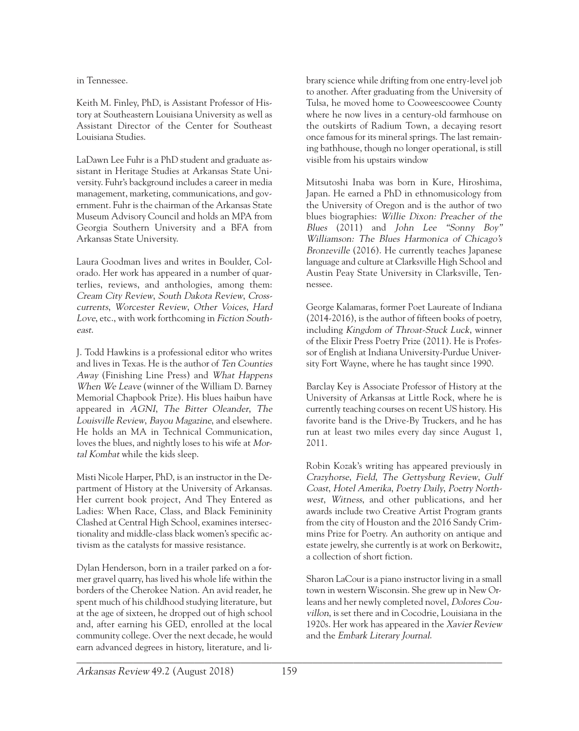in Tennessee.

Keith M. Finley, PhD, is Assistant Professor of History at Southeastern Louisiana University as well as Assistant Director of the Center for Southeast Louisiana Studies.

LaDawn Lee Fuhr is a PhD student and graduate assistant in Heritage Studies at Arkansas State University. Fuhr's background includes a career in media management, marketing, communications, and government. Fuhr is the chairman of the Arkansas State Museum Advisory Council and holds an MPA from Georgia Southern University and a BFA from Arkansas State University.

Laura Goodman lives and writes in Boulder, Colorado. Her work has appeared in a number of quarterlies, reviews, and anthologies, among them: Cream City Review, South Dakota Review, Crosscurrents, Worcester Review, Other Voices, Hard Love, etc., with work forthcoming in Fiction Southeast.

J. Todd Hawkins is a professional editor who writes and lives in Texas. He is the author of Ten Counties Away (Finishing Line Press) and What Happens When We Leave (winner of the William D. Barney Memorial Chapbook Prize). His blues haibun have appeared in AGNI, The Bitter Oleander, The Louisville Review, Bayou Magazine, and elsewhere. He holds an MA in Technical Communication, loves the blues, and nightly loses to his wife at Mortal Kombat while the kids sleep.

Misti Nicole Harper, PhD, is an instructor in the Department of History at the University of Arkansas. Her current book project, And They Entered as Ladies: When Race, Class, and Black Femininity Clashed at Central High School, examines intersectionality and middle-class black women's specific activism as the catalysts for massive resistance.

 $\mathcal{L}_\mathcal{L} = \mathcal{L}_\mathcal{L} = \mathcal{L}_\mathcal{L} = \mathcal{L}_\mathcal{L} = \mathcal{L}_\mathcal{L} = \mathcal{L}_\mathcal{L} = \mathcal{L}_\mathcal{L} = \mathcal{L}_\mathcal{L} = \mathcal{L}_\mathcal{L} = \mathcal{L}_\mathcal{L} = \mathcal{L}_\mathcal{L} = \mathcal{L}_\mathcal{L} = \mathcal{L}_\mathcal{L} = \mathcal{L}_\mathcal{L} = \mathcal{L}_\mathcal{L} = \mathcal{L}_\mathcal{L} = \mathcal{L}_\mathcal{L}$ Dylan Henderson, born in a trailer parked on a former gravel quarry, has lived his whole life within the borders of the Cherokee Nation. An avid reader, he spent much of his childhood studying literature, but at the age of sixteen, he dropped out of high school and, after earning his GED, enrolled at the local community college. Over the next decade, he would earn advanced degrees in history, literature, and li-

brary science while drifting from one entry-level job to another. After graduating from the University of Tulsa, he moved home to Cooweescoowee County where he now lives in a century-old farmhouse on the outskirts of Radium Town, a decaying resort once famous for its mineral springs. The last remaining bathhouse, though no longer operational, is still visible from his upstairs window

Mitsutoshi Inaba was born in Kure, Hiroshima, Japan. He earned a PhD in ethnomusicology from the University of Oregon and is the author of two blues biographies: Willie Dixon: Preacher of the Blues (2011) and John Lee "Sonny Boy" Williamson: The Blues Harmonica of Chicago's Bronzeville (2016). He currently teaches Japanese language and culture at Clarksville High School and Austin Peay State University in Clarksville, Tennessee.

George Kalamaras, former Poet Laureate of Indiana (2014-2016), is the author of fifteen books of poetry, including Kingdom of Throat-Stuck Luck, winner of the Elixir Press Poetry Prize (2011). He is Professor of English at Indiana University-Purdue University Fort Wayne, where he has taught since 1990.

Barclay Key is Associate Professor of History at the University of Arkansas at Little Rock, where he is currently teaching courses on recent US history. His favorite band is the Drive-By Truckers, and he has run at least two miles every day since August 1, 2011.

Robin Kozak's writing has appeared previously in Crazyhorse, Field, The Gettysburg Review, Gulf Coast, Hotel Amerika, Poetry Daily, Poetry Northwest, Witness, and other publications, and her awards include two Creative Artist Program grants from the city of Houston and the 2016 Sandy Crimmins Prize for Poetry. An authority on antique and estate jewelry, she currently is at work on Berkowitz, a collection of short fiction.

Sharon LaCour is a piano instructor living in a small town in western Wisconsin. She grew up in New Orleans and her newly completed novel, Dolores Couvillon, is set there and in Cocodrie, Louisiana in the 1920s. Her work has appeared in the Xavier Review and the Embark Literary Journal.